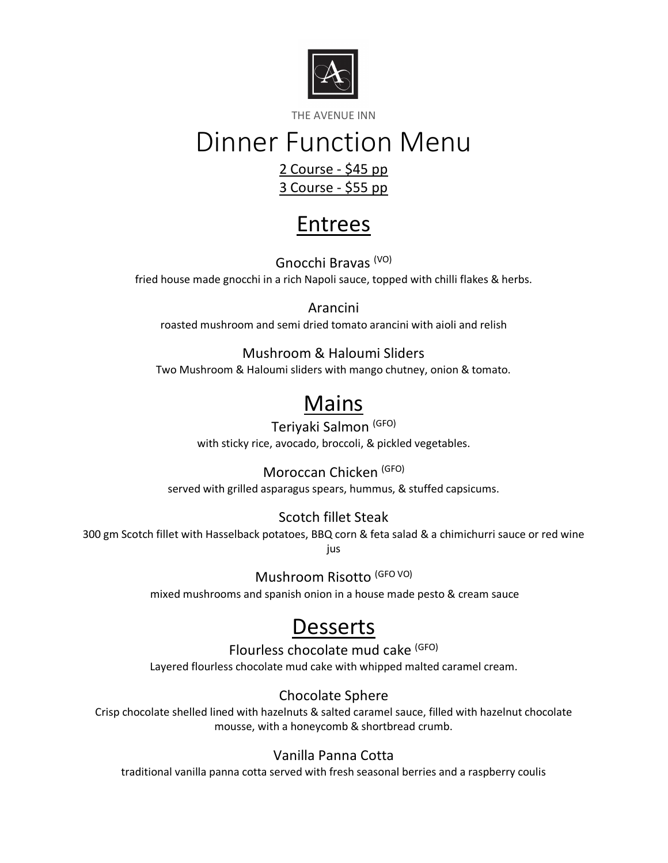

THE AVENUE INN

# Dinner Function Menu

#### 2 Course - \$45 pp 3 Course - \$55 pp

## Entrees

Gnocchi Bravas (VO) fried house made gnocchi in a rich Napoli sauce, topped with chilli flakes & herbs.

Arancini roasted mushroom and semi dried tomato arancini with aioli and relish

Mushroom & Haloumi Sliders Two Mushroom & Haloumi sliders with mango chutney, onion & tomato.

# **Mains**

## Teriyaki Salmon (GFO)

with sticky rice, avocado, broccoli, & pickled vegetables.

#### Moroccan Chicken (GFO)

served with grilled asparagus spears, hummus, & stuffed capsicums.

### Scotch fillet Steak

300 gm Scotch fillet with Hasselback potatoes, BBQ corn & feta salad & a chimichurri sauce or red wine jus

Mushroom Risotto (GFO VO)

mixed mushrooms and spanish onion in a house made pesto & cream sauce

## **Desserts**

Flourless chocolate mud cake (GFO) Layered flourless chocolate mud cake with whipped malted caramel cream.

Chocolate Sphere

Crisp chocolate shelled lined with hazelnuts & salted caramel sauce, filled with hazelnut chocolate mousse, with a honeycomb & shortbread crumb.

### Vanilla Panna Cotta

traditional vanilla panna cotta served with fresh seasonal berries and a raspberry coulis